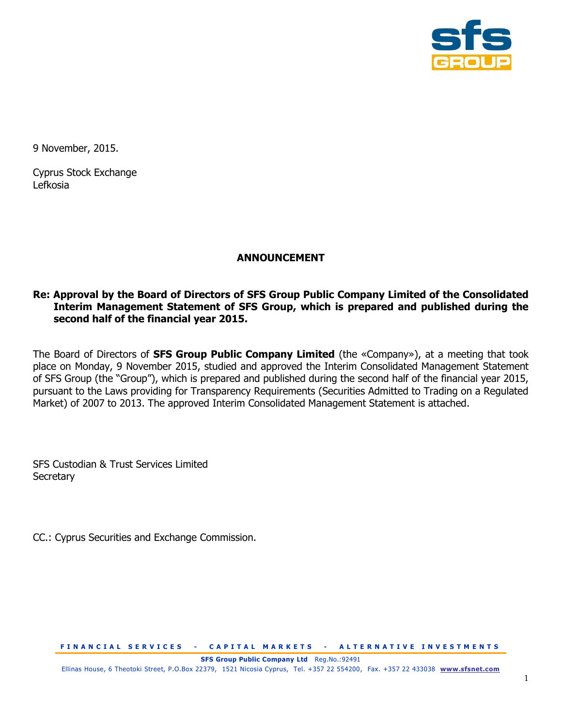

9 November, 2015.

Cyprus Stock Exchange Lefkosia

## **ANNOUNCEMENT**

# **Re: Approval by the Board of Directors of SFS Group Public Company Limited of the Consolidated Interim Management Statement of SFS Group, which is prepared and published during the second half of the financial year 2015.**

The Board of Directors of **SFS Group Public Company Limited** (the «Company»), at a meeting that took place on Monday, 9 November 2015, studied and approved the Interim Consolidated Management Statement of SFS Group (the "Group"), which is prepared and published during the second half of the financial year 2015, pursuant to the Laws providing for Transparency Requirements (Securities Admitted to Trading on a Regulated Market) of 2007 to 2013. The approved Interim Consolidated Management Statement is attached.

SFS Custodian & Trust Services Limited **Secretary** 

CC.: Cyprus Securities and Exchange Commission.

**FINANCIAL SERVICES - CAPITAL MARKETS - ALTERNATIVE INVESTMENTS** 

**SFS Group Public Company Ltd** Reg.No.:92491

Ellinas House, 6 Theotoki Street, P.O.Box 22379, 1521 Nicosia Cyprus, Tel. +357 22 554200, Fax. +357 22 433038 **[www.sfsnet.com](http://www.sfsnet.com/)**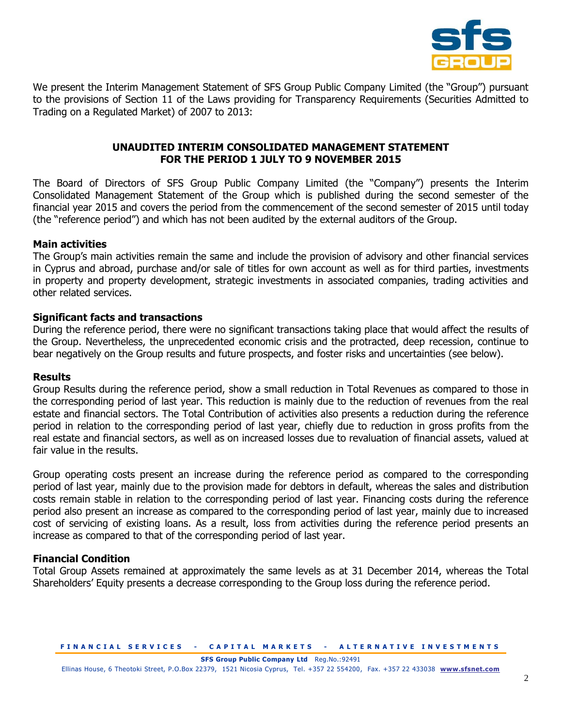

We present the Interim Management Statement of SFS Group Public Company Limited (the "Group") pursuant to the provisions of Section 11 of the Laws providing for Transparency Requirements (Securities Admitted to Trading on a Regulated Market) of 2007 to 2013:

## **UNAUDITED INTERIM CONSOLIDATED MANAGEMENT STATEMENT FOR THE PERIOD 1 JULY TO 9 NOVEMBER 2015**

The Board of Directors of SFS Group Public Company Limited (the "Company") presents the Interim Consolidated Management Statement of the Group which is published during the second semester of the financial year 2015 and covers the period from the commencement of the second semester of 2015 until today (the "reference period") and which has not been audited by the external auditors of the Group.

### **Main activities**

The Group's main activities remain the same and include the provision of advisory and other financial services in Cyprus and abroad, purchase and/or sale of titles for own account as well as for third parties, investments in property and property development, strategic investments in associated companies, trading activities and other related services.

### **Significant facts and transactions**

During the reference period, there were no significant transactions taking place that would affect the results of the Group. Nevertheless, the unprecedented economic crisis and the protracted, deep recession, continue to bear negatively on the Group results and future prospects, and foster risks and uncertainties (see below).

#### **Results**

Group Results during the reference period, show a small reduction in Total Revenues as compared to those in the corresponding period of last year. This reduction is mainly due to the reduction of revenues from the real estate and financial sectors. The Total Contribution of activities also presents a reduction during the reference period in relation to the corresponding period of last year, chiefly due to reduction in gross profits from the real estate and financial sectors, as well as on increased losses due to revaluation of financial assets, valued at fair value in the results.

Group operating costs present an increase during the reference period as compared to the corresponding period of last year, mainly due to the provision made for debtors in default, whereas the sales and distribution costs remain stable in relation to the corresponding period of last year. Financing costs during the reference period also present an increase as compared to the corresponding period of last year, mainly due to increased cost of servicing of existing loans. As a result, loss from activities during the reference period presents an increase as compared to that of the corresponding period of last year.

## **Financial Condition**

Total Group Assets remained at approximately the same levels as at 31 December 2014, whereas the Total Shareholders' Equity presents a decrease corresponding to the Group loss during the reference period.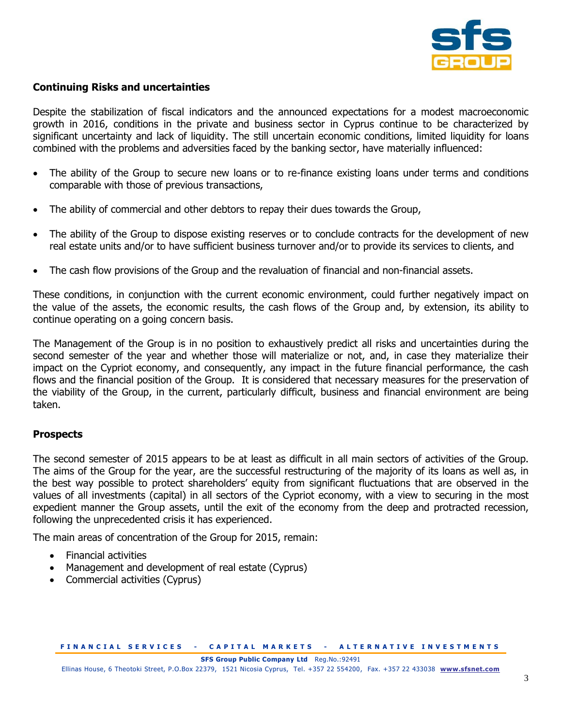

## **Continuing Risks and uncertainties**

Despite the stabilization of fiscal indicators and the announced expectations for a modest macroeconomic growth in 2016, conditions in the private and business sector in Cyprus continue to be characterized by significant uncertainty and lack of liquidity. The still uncertain economic conditions, limited liquidity for loans combined with the problems and adversities faced by the banking sector, have materially influenced:

- The ability of the Group to secure new loans or to re-finance existing loans under terms and conditions comparable with those of previous transactions,
- The ability of commercial and other debtors to repay their dues towards the Group,
- The ability of the Group to dispose existing reserves or to conclude contracts for the development of new real estate units and/or to have sufficient business turnover and/or to provide its services to clients, and
- The cash flow provisions of the Group and the revaluation of financial and non-financial assets.

These conditions, in conjunction with the current economic environment, could further negatively impact on the value of the assets, the economic results, the cash flows of the Group and, by extension, its ability to continue operating on a going concern basis.

The Management of the Group is in no position to exhaustively predict all risks and uncertainties during the second semester of the year and whether those will materialize or not, and, in case they materialize their impact on the Cypriot economy, and consequently, any impact in the future financial performance, the cash flows and the financial position of the Group. It is considered that necessary measures for the preservation of the viability of the Group, in the current, particularly difficult, business and financial environment are being taken.

#### **Prospects**

The second semester of 2015 appears to be at least as difficult in all main sectors of activities of the Group. The aims of the Group for the year, are the successful restructuring of the majority of its loans as well as, in the best way possible to protect shareholders' equity from significant fluctuations that are observed in the values of all investments (capital) in all sectors of the Cypriot economy, with a view to securing in the most expedient manner the Group assets, until the exit of the economy from the deep and protracted recession, following the unprecedented crisis it has experienced.

The main areas of concentration of the Group for 2015, remain:

- Financial activities
- Management and development of real estate (Cyprus)
- Commercial activities (Cyprus)

**FINANCIAL SERVICES - CAPITAL MARKETS - ALTERNATIVE INVESTMENTS** 

**SFS Group Public Company Ltd** Reg.No.:92491

Ellinas House, 6 Theotoki Street, P.O.Box 22379, 1521 Nicosia Cyprus, Tel. +357 22 554200, Fax. +357 22 433038 **[www.sfsnet.com](http://www.sfsnet.com/)**